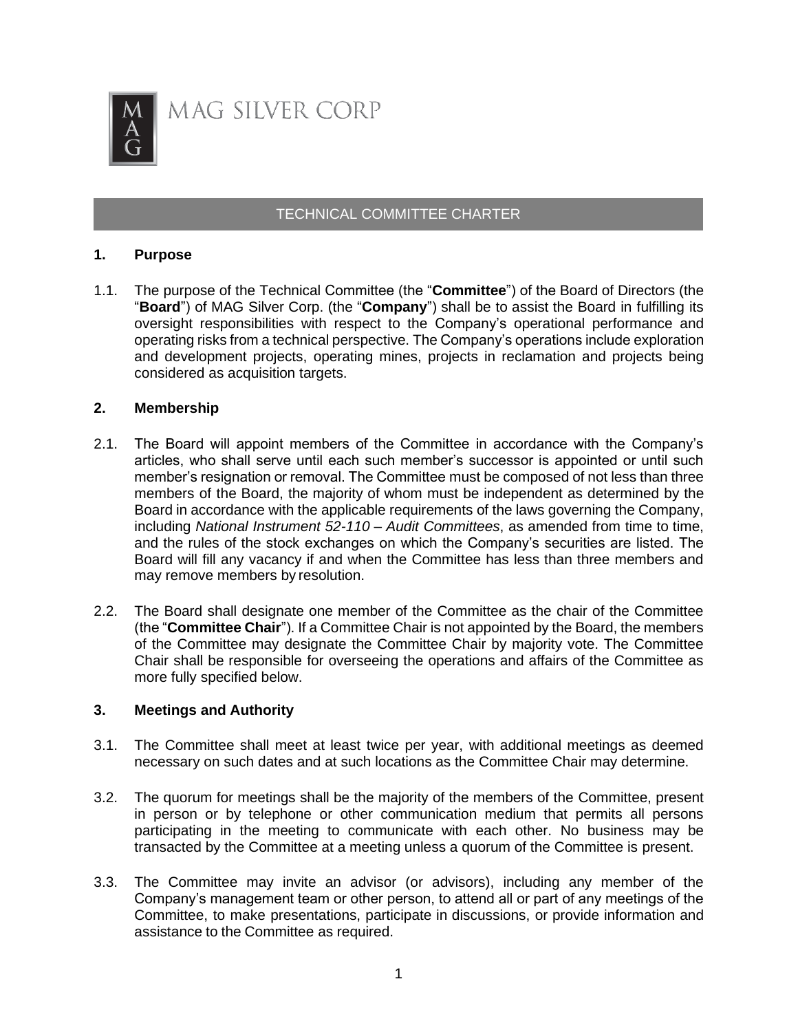

MAG SILVER CORP

# TECHNICAL COMMITTEE CHARTER

### **1. Purpose**

1.1. The purpose of the Technical Committee (the "**Committee**") of the Board of Directors (the "**Board**") of MAG Silver Corp. (the "**Company**") shall be to assist the Board in fulfilling its oversight responsibilities with respect to the Company's operational performance and operating risks from a technical perspective. The Company's operations include exploration and development projects, operating mines, projects in reclamation and projects being considered as acquisition targets.

### **2. Membership**

- 2.1. The Board will appoint members of the Committee in accordance with the Company's articles, who shall serve until each such member's successor is appointed or until such member's resignation or removal. The Committee must be composed of not less than three members of the Board, the majority of whom must be independent as determined by the Board in accordance with the applicable requirements of the laws governing the Company, including *National Instrument 52-110 – Audit Committees*, as amended from time to time, and the rules of the stock exchanges on which the Company's securities are listed. The Board will fill any vacancy if and when the Committee has less than three members and may remove members by resolution.
- 2.2. The Board shall designate one member of the Committee as the chair of the Committee (the "**Committee Chair**"). If a Committee Chair is not appointed by the Board, the members of the Committee may designate the Committee Chair by majority vote. The Committee Chair shall be responsible for overseeing the operations and affairs of the Committee as more fully specified below.

#### **3. Meetings and Authority**

- 3.1. The Committee shall meet at least twice per year, with additional meetings as deemed necessary on such dates and at such locations as the Committee Chair may determine.
- 3.2. The quorum for meetings shall be the majority of the members of the Committee, present in person or by telephone or other communication medium that permits all persons participating in the meeting to communicate with each other. No business may be transacted by the Committee at a meeting unless a quorum of the Committee is present.
- 3.3. The Committee may invite an advisor (or advisors), including any member of the Company's management team or other person, to attend all or part of any meetings of the Committee, to make presentations, participate in discussions, or provide information and assistance to the Committee as required.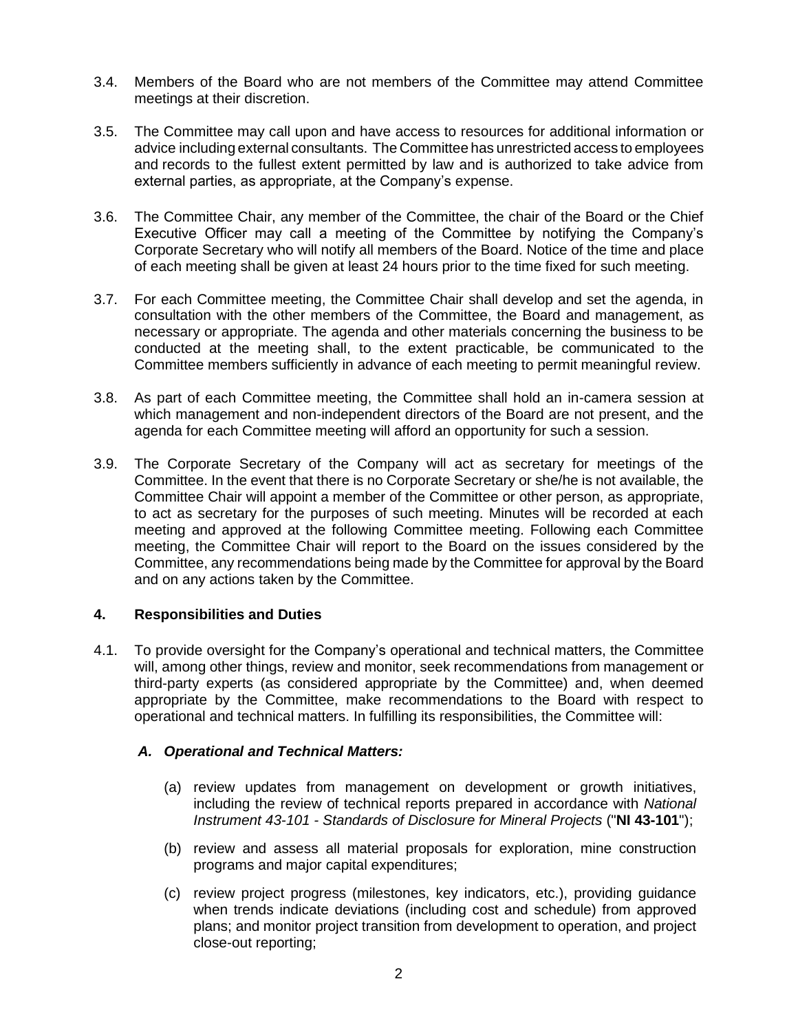- 3.4. Members of the Board who are not members of the Committee may attend Committee meetings at their discretion.
- 3.5. The Committee may call upon and have access to resources for additional information or advice including external consultants. The Committee has unrestricted access to employees and records to the fullest extent permitted by law and is authorized to take advice from external parties, as appropriate, at the Company's expense.
- 3.6. The Committee Chair, any member of the Committee, the chair of the Board or the Chief Executive Officer may call a meeting of the Committee by notifying the Company's Corporate Secretary who will notify all members of the Board. Notice of the time and place of each meeting shall be given at least 24 hours prior to the time fixed for such meeting.
- 3.7. For each Committee meeting, the Committee Chair shall develop and set the agenda, in consultation with the other members of the Committee, the Board and management, as necessary or appropriate. The agenda and other materials concerning the business to be conducted at the meeting shall, to the extent practicable, be communicated to the Committee members sufficiently in advance of each meeting to permit meaningful review.
- 3.8. As part of each Committee meeting, the Committee shall hold an in-camera session at which management and non-independent directors of the Board are not present, and the agenda for each Committee meeting will afford an opportunity for such a session.
- 3.9. The Corporate Secretary of the Company will act as secretary for meetings of the Committee. In the event that there is no Corporate Secretary or she/he is not available, the Committee Chair will appoint a member of the Committee or other person, as appropriate, to act as secretary for the purposes of such meeting. Minutes will be recorded at each meeting and approved at the following Committee meeting. Following each Committee meeting, the Committee Chair will report to the Board on the issues considered by the Committee, any recommendations being made by the Committee for approval by the Board and on any actions taken by the Committee.

### **4. Responsibilities and Duties**

4.1. To provide oversight for the Company's operational and technical matters, the Committee will, among other things, review and monitor, seek recommendations from management or third-party experts (as considered appropriate by the Committee) and, when deemed appropriate by the Committee, make recommendations to the Board with respect to operational and technical matters. In fulfilling its responsibilities, the Committee will:

## *A. Operational and Technical Matters:*

- (a) review updates from management on development or growth initiatives, including the review of technical reports prepared in accordance with *National Instrument 43-101 - Standards of Disclosure for Mineral Projects* ("**NI 43-101**");
- (b) review and assess all material proposals for exploration, mine construction programs and major capital expenditures;
- (c) review project progress (milestones, key indicators, etc.), providing guidance when trends indicate deviations (including cost and schedule) from approved plans; and monitor project transition from development to operation, and project close-out reporting;